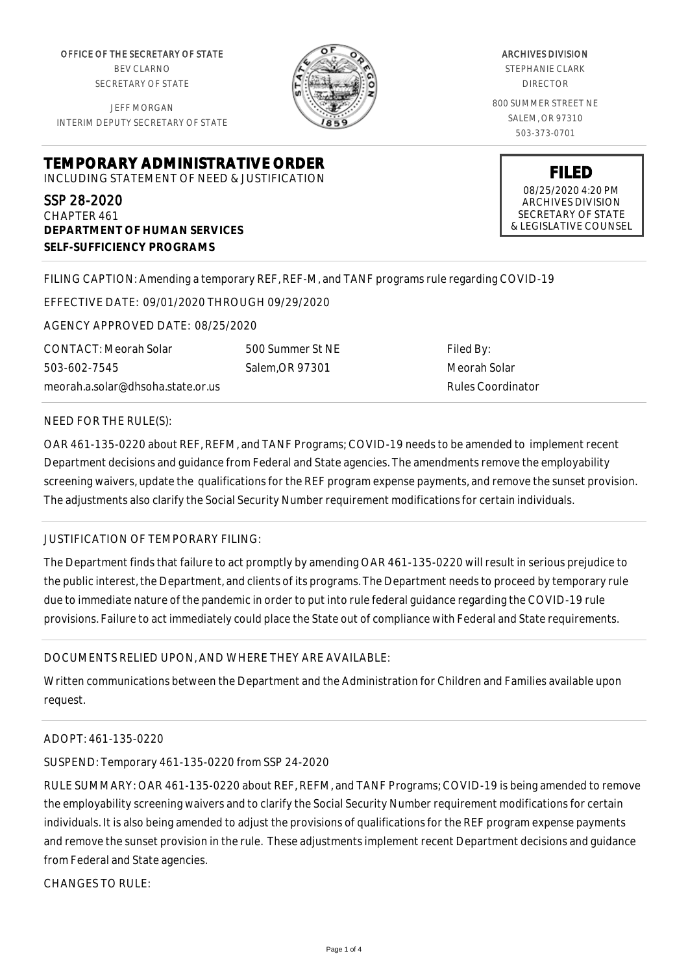OFFICE OF THE SECRETARY OF STATE BEV CLARNO SECRETARY OF STATE

JEFF MORGAN INTERIM DEPUTY SECRETARY OF STATE

**DEPARTMENT OF HUMAN SERVICES**

**SELF-SUFFICIENCY PROGRAMS**



ARCHIVES DIVISION STEPHANIE CLARK DIRECTOR 800 SUMMER STREET NE SALEM, OR 97310 503-373-0701

> **FILED** 08/25/2020 4:20 PM ARCHIVES DIVISION SECRETARY OF STATE & LEGISLATIVE COUNSEL

FILING CAPTION: Amending a temporary REF, REF-M, and TANF programs rule regarding COVID-19

EFFECTIVE DATE: 09/01/2020 THROUGH 09/29/2020

**TEMPORARY ADMINISTRATIVE ORDER** INCLUDING STATEMENT OF NEED & JUSTIFICATION

AGENCY APPROVED DATE: 08/25/2020

CONTACT: Meorah Solar 503-602-7545 meorah.a.solar@dhsoha.state.or.us

500 Summer St NE Salem,OR 97301

Filed By: Meorah Solar Rules Coordinator

## NEED FOR THE RULE(S):

SSP 28-2020 CHAPTER 461

OAR 461-135-0220 about REF, REFM, and TANF Programs; COVID-19 needs to be amended to implement recent Department decisions and guidance from Federal and State agencies. The amendments remove the employability screening waivers, update the qualifications for the REF program expense payments, and remove the sunset provision. The adjustments also clarify the Social Security Number requirement modifications for certain individuals.

## JUSTIFICATION OF TEMPORARY FILING:

The Department finds that failure to act promptly by amending OAR 461-135-0220 will result in serious prejudice to the public interest, the Department, and clients of its programs. The Department needs to proceed by temporary rule due to immediate nature of the pandemic in order to put into rule federal guidance regarding the COVID-19 rule provisions. Failure to act immediately could place the State out of compliance with Federal and State requirements.

## DOCUMENTS RELIED UPON, AND WHERE THEY ARE AVAILABLE:

Written communications between the Department and the Administration for Children and Families available upon request.

## ADOPT: 461-135-0220

SUSPEND: Temporary 461-135-0220 from SSP 24-2020

RULE SUMMARY: OAR 461-135-0220 about REF, REFM, and TANF Programs; COVID-19 is being amended to remove the employability screening waivers and to clarify the Social Security Number requirement modifications for certain individuals. It is also being amended to adjust the provisions of qualifications for the REF program expense payments and remove the sunset provision in the rule. These adjustments implement recent Department decisions and guidance from Federal and State agencies.

CHANGES TO RULE: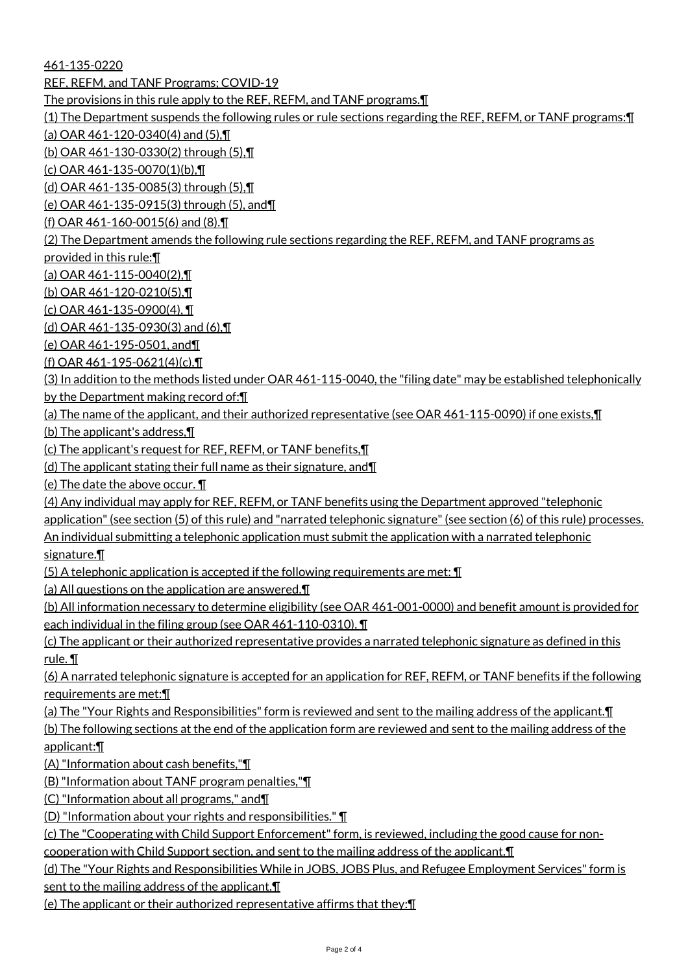461-135-0220

REF, REFM, and TANF Programs; COVID-19

The provisions in this rule apply to the REF, REFM, and TANF programs.¶

(1) The Department suspends the following rules or rule sections regarding the REF, REFM, or TANF programs:¶

(a) OAR 461-120-0340(4) and (5),¶

(b) OAR 461-130-0330(2) through (5),¶

(c) OAR 461-135-0070(1)(b),¶

(d) OAR 461-135-0085(3) through (5),¶

(e) OAR 461-135-0915(3) through (5), and¶

(f) OAR 461-160-0015(6) and (8).¶

(2) The Department amends the following rule sections regarding the REF, REFM, and TANF programs as

provided in this rule:¶

(a) OAR 461-115-0040(2),¶

(b) OAR 461-120-0210(5),¶

(c) OAR 461-135-0900(4), ¶

(d) OAR 461-135-0930(3) and (6),¶

(e) OAR 461-195-0501, and¶

(f) OAR 461-195-0621(4)(c).¶

(3) In addition to the methods listed under OAR 461-115-0040, the "filing date" may be established telephonically by the Department making record of:¶

(a) The name of the applicant, and their authorized representative (see OAR 461-115-0090) if one exists,¶

(b) The applicant's address,¶

(c) The applicant's request for REF, REFM, or TANF benefits,¶

(d) The applicant stating their full name as their signature, and¶

(e) The date the above occur. ¶

(4) Any individual may apply for REF, REFM, or TANF benefits using the Department approved "telephonic application" (see section (5) of this rule) and "narrated telephonic signature" (see section (6) of this rule) processes. An individual submitting a telephonic application must submit the application with a narrated telephonic signature.¶

(5) A telephonic application is accepted if the following requirements are met:  $\P$ 

(a) All questions on the application are answered.¶

(b) All information necessary to determine eligibility (see OAR 461-001-0000) and benefit amount is provided for each individual in the filing group (see OAR 461-110-0310). ¶

(c) The applicant or their authorized representative provides a narrated telephonic signature as defined in this rule. ¶

(6) A narrated telephonic signature is accepted for an application for REF, REFM, or TANF benefits if the following requirements are met:¶

(a) The "Your Rights and Responsibilities" form is reviewed and sent to the mailing address of the applicant.¶

(b) The following sections at the end of the application form are reviewed and sent to the mailing address of the applicant:¶

(A) "Information about cash benefits,"¶

(B) "Information about TANF program penalties,"¶

(C) "Information about all programs," and¶

(D) "Information about your rights and responsibilities." ¶

(c) The "Cooperating with Child Support Enforcement" form, is reviewed, including the good cause for non-

cooperation with Child Support section, and sent to the mailing address of the applicant.¶

(d) The "Your Rights and Responsibilities While in JOBS, JOBS Plus, and Refugee Employment Services" form is sent to the mailing address of the applicant.

(e) The applicant or their authorized representative affirms that they:¶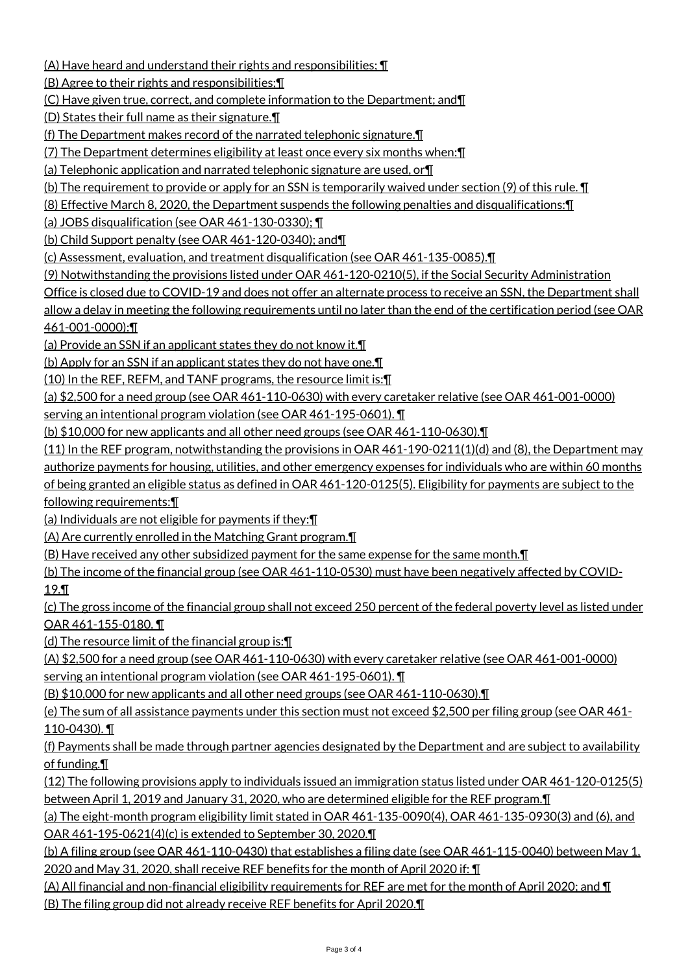(A) Have heard and understand their rights and responsibilities; ¶

(B) Agree to their rights and responsibilities;¶

(C) Have given true, correct, and complete information to the Department; and¶

(D) States their full name as their signature.¶

(f) The Department makes record of the narrated telephonic signature.¶

(7) The Department determines eligibility at least once every six months when:¶

(a) Telephonic application and narrated telephonic signature are used, or¶

(b) The requirement to provide or apply for an SSN is temporarily waived under section (9) of this rule. ¶

(8) Effective March 8, 2020, the Department suspends the following penalties and disqualifications:¶

(a) JOBS disqualification (see OAR 461-130-0330); ¶

(b) Child Support penalty (see OAR 461-120-0340); and¶

(c) Assessment, evaluation, and treatment disqualification (see OAR 461-135-0085).¶

(9) Notwithstanding the provisions listed under OAR 461-120-0210(5), if the Social Security Administration

Office is closed due to COVID-19 and does not offer an alternate process to receive an SSN, the Department shall

allow a delay in meeting the following requirements until no later than the end of the certification period (see OAR 461-001-0000):¶

(a) Provide an SSN if an applicant states they do not know it.¶

(b) Apply for an SSN if an applicant states they do not have one.¶

(10) In the REF, REFM, and TANF programs, the resource limit is:¶

(a) \$2,500 for a need group (see OAR 461-110-0630) with every caretaker relative (see OAR 461-001-0000)

serving an intentional program violation (see OAR 461-195-0601). ¶

(b) \$10,000 for new applicants and all other need groups (see OAR 461-110-0630).¶

(11) In the REF program, notwithstanding the provisions in OAR 461-190-0211(1)(d) and (8), the Department may authorize payments for housing, utilities, and other emergency expenses for individuals who are within 60 months

of being granted an eligible status as defined in OAR 461-120-0125(5). Eligibility for payments are subject to the following requirements:¶

(a) Individuals are not eligible for payments if they:¶

(A) Are currently enrolled in the Matching Grant program.¶

(B) Have received any other subsidized payment for the same expense for the same month.¶

(b) The income of the financial group (see OAR 461-110-0530) must have been negatively affected by COVID-19.¶

(c) The gross income of the financial group shall not exceed 250 percent of the federal poverty level as listed under OAR 461-155-0180. ¶

(d) The resource limit of the financial group is:¶

(A) \$2,500 for a need group (see OAR 461-110-0630) with every caretaker relative (see OAR 461-001-0000) serving an intentional program violation (see OAR 461-195-0601). ¶

(B) \$10,000 for new applicants and all other need groups (see OAR 461-110-0630).¶

(e) The sum of all assistance payments under this section must not exceed \$2,500 per filing group (see OAR 461- 110-0430). ¶

(f) Payments shall be made through partner agencies designated by the Department and are subject to availability of funding.¶

(12) The following provisions apply to individuals issued an immigration status listed under OAR 461-120-0125(5) between April 1, 2019 and January 31, 2020, who are determined eligible for the REF program.¶

(a) The eight-month program eligibility limit stated in OAR 461-135-0090(4), OAR 461-135-0930(3) and (6), and OAR 461-195-0621(4)(c) is extended to September 30, 2020.¶

(b) A filing group (see OAR 461-110-0430) that establishes a filing date (see OAR 461-115-0040) between May 1, 2020 and May 31, 2020, shall receive REF benefits for the month of April 2020 if: ¶

(A) All financial and non-financial eligibility requirements for REF are met for the month of April 2020; and ¶ (B) The filing group did not already receive REF benefits for April 2020.¶